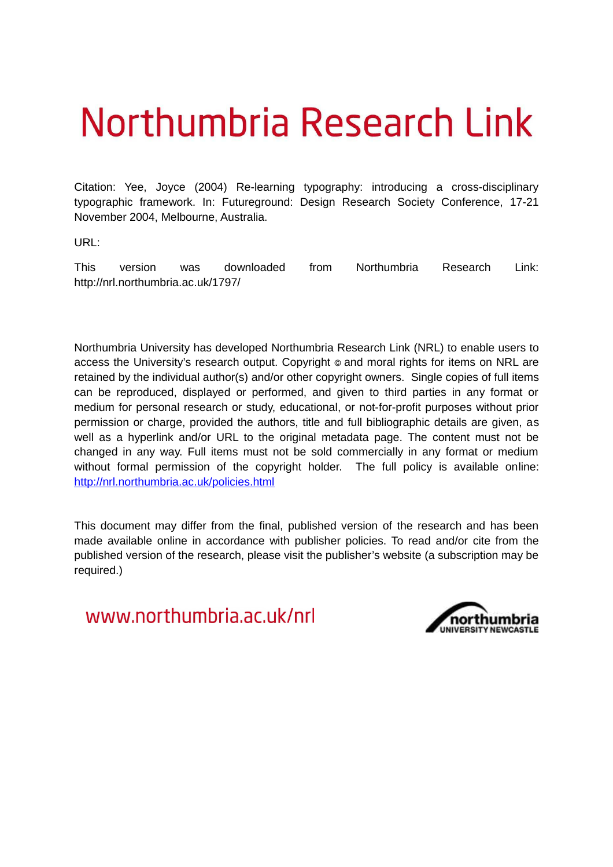# Northumbria Research Link

Citation: Yee, Joyce (2004) Re-learning typography: introducing a cross-disciplinary typographic framework. In: Futureground: Design Research Society Conference, 17-21 November 2004, Melbourne, Australia.

URL:

This version was downloaded from Northumbria Research Link: http://nrl.northumbria.ac.uk/1797/

Northumbria University has developed Northumbria Research Link (NRL) to enable users to access the University's research output. Copyright  $\circ$  and moral rights for items on NRL are retained by the individual author(s) and/or other copyright owners. Single copies of full items can be reproduced, displayed or performed, and given to third parties in any format or medium for personal research or study, educational, or not-for-profit purposes without prior permission or charge, provided the authors, title and full bibliographic details are given, as well as a hyperlink and/or URL to the original metadata page. The content must not be changed in any way. Full items must not be sold commercially in any format or medium without formal permission of the copyright holder. The full policy is available online: <http://nrl.northumbria.ac.uk/policies.html>

This document may differ from the final, published version of the research and has been made available online in accordance with publisher policies. To read and/or cite from the published version of the research, please visit the publisher's website (a subscription may be required.)

www.northumbria.ac.uk/nrl

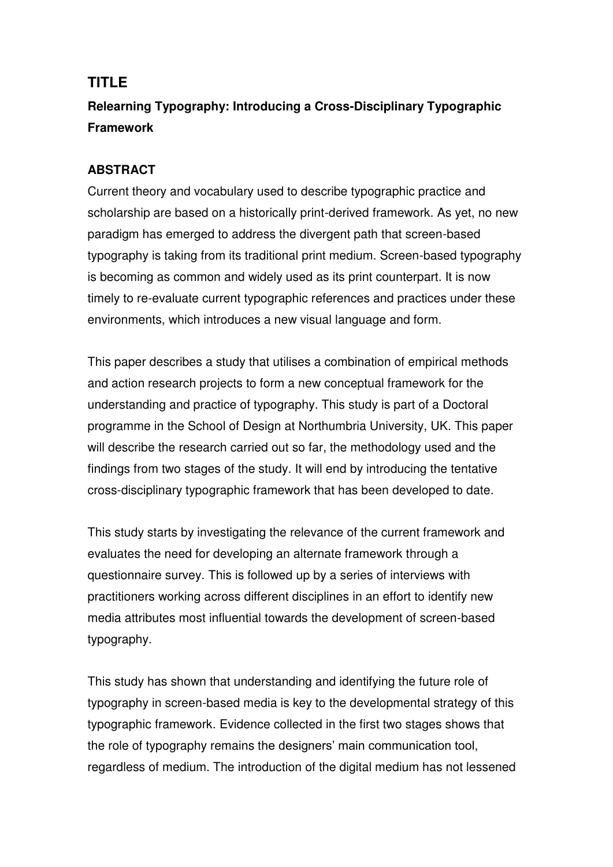# **TITLE**

# **Relearning Typography: Introducing a Cross-Disciplinary Typographic Framework**

# **ABSTRACT**

Current theory and vocabulary used to describe typographic practice and scholarship are based on a historically print-derived framework. As yet, no new paradigm has emerged to address the divergent path that screen-based typography is taking from its traditional print medium. Screen-based typography is becoming as common and widely used as its print counterpart. It is now timely to re-evaluate current typographic references and practices under these environments, which introduces a new visual language and form.

This paper describes a study that utilises a combination of empirical methods and action research projects to form a new conceptual framework for the understanding and practice of typography. This study is part of a Doctoral programme in the School of Design at Northumbria University, UK. This paper will describe the research carried out so far, the methodology used and the findings from two stages of the study. It will end by introducing the tentative cross-disciplinary typographic framework that has been developed to date.

This study starts by investigating the relevance of the current framework and evaluates the need for developing an alternate framework through a questionnaire survey. This is followed up by a series of interviews with practitioners working across different disciplines in an effort to identify new media attributes most influential towards the development of screen-based typography.

This study has shown that understanding and identifying the future role of typography in screen-based media is key to the developmental strategy of this typographic framework. Evidence collected in the first two stages shows that the role of typography remains the designers' main communication tool, regardless of medium. The introduction of the digital medium has not lessened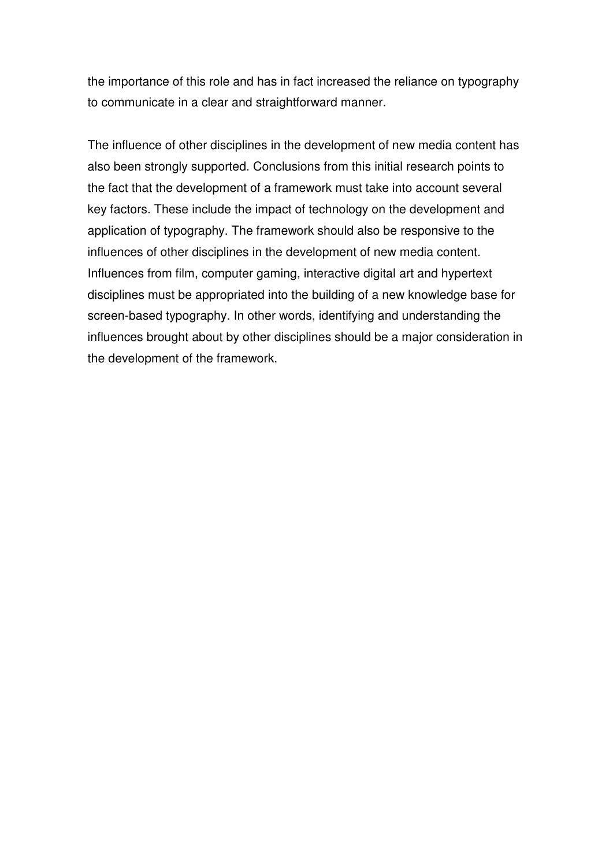the importance of this role and has in fact increased the reliance on typography to communicate in a clear and straightforward manner.

The influence of other disciplines in the development of new media content has also been strongly supported. Conclusions from this initial research points to the fact that the development of a framework must take into account several key factors. These include the impact of technology on the development and application of typography. The framework should also be responsive to the influences of other disciplines in the development of new media content. Influences from film, computer gaming, interactive digital art and hypertext disciplines must be appropriated into the building of a new knowledge base for screen-based typography. In other words, identifying and understanding the influences brought about by other disciplines should be a major consideration in the development of the framework.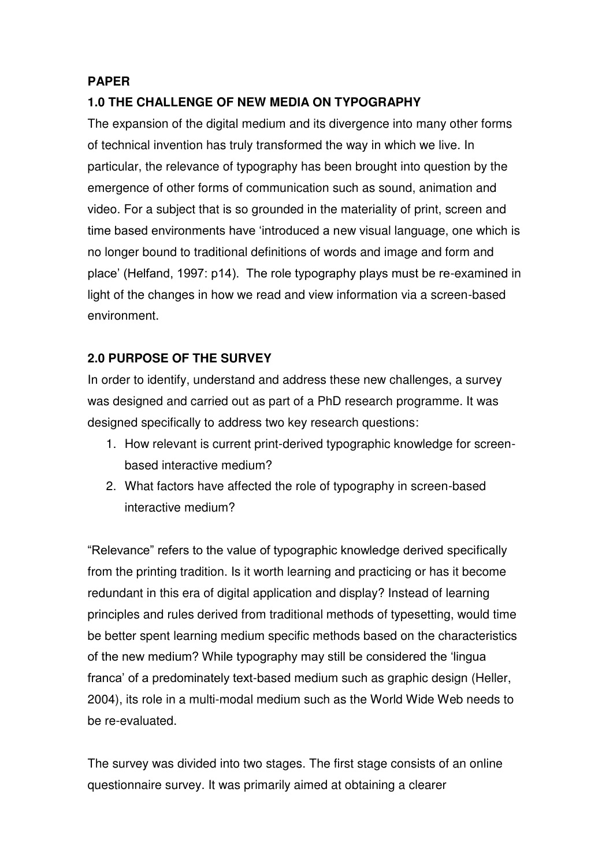#### **PAPER**

## **1.0 THE CHALLENGE OF NEW MEDIA ON TYPOGRAPHY**

The expansion of the digital medium and its divergence into many other forms of technical invention has truly transformed the way in which we live. In particular, the relevance of typography has been brought into question by the emergence of other forms of communication such as sound, animation and video. For a subject that is so grounded in the materiality of print, screen and time based environments have "introduced a new visual language, one which is no longer bound to traditional definitions of words and image and form and place" (Helfand, 1997: p14). The role typography plays must be re-examined in light of the changes in how we read and view information via a screen-based environment.

## **2.0 PURPOSE OF THE SURVEY**

In order to identify, understand and address these new challenges, a survey was designed and carried out as part of a PhD research programme. It was designed specifically to address two key research questions:

- 1. How relevant is current print-derived typographic knowledge for screenbased interactive medium?
- 2. What factors have affected the role of typography in screen-based interactive medium?

"Relevance" refers to the value of typographic knowledge derived specifically from the printing tradition. Is it worth learning and practicing or has it become redundant in this era of digital application and display? Instead of learning principles and rules derived from traditional methods of typesetting, would time be better spent learning medium specific methods based on the characteristics of the new medium? While typography may still be considered the "lingua franca" of a predominately text-based medium such as graphic design (Heller, 2004), its role in a multi-modal medium such as the World Wide Web needs to be re-evaluated.

The survey was divided into two stages. The first stage consists of an online questionnaire survey. It was primarily aimed at obtaining a clearer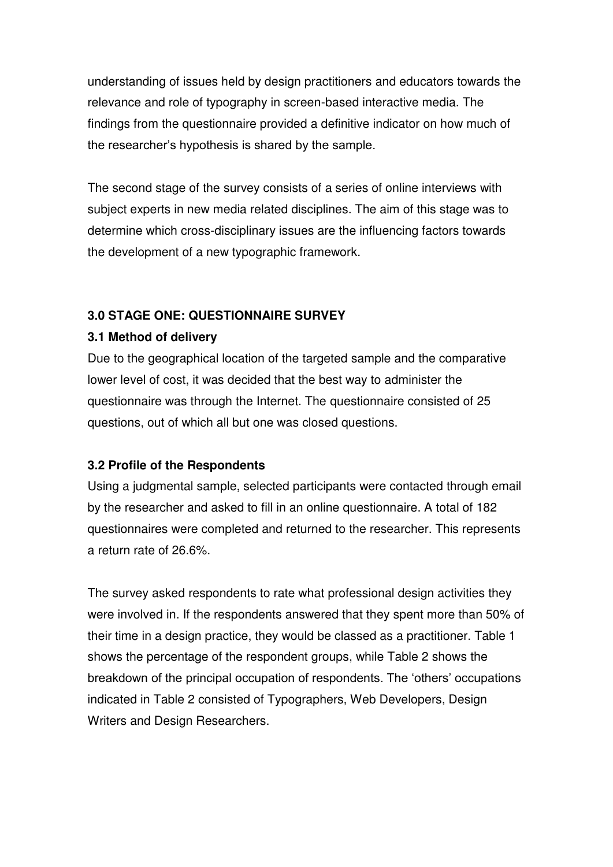understanding of issues held by design practitioners and educators towards the relevance and role of typography in screen-based interactive media. The findings from the questionnaire provided a definitive indicator on how much of the researcher"s hypothesis is shared by the sample.

The second stage of the survey consists of a series of online interviews with subject experts in new media related disciplines. The aim of this stage was to determine which cross-disciplinary issues are the influencing factors towards the development of a new typographic framework.

# **3.0 STAGE ONE: QUESTIONNAIRE SURVEY**

## **3.1 Method of delivery**

Due to the geographical location of the targeted sample and the comparative lower level of cost, it was decided that the best way to administer the questionnaire was through the Internet. The questionnaire consisted of 25 questions, out of which all but one was closed questions.

# **3.2 Profile of the Respondents**

Using a judgmental sample, selected participants were contacted through email by the researcher and asked to fill in an online questionnaire. A total of 182 questionnaires were completed and returned to the researcher. This represents a return rate of 26.6%.

The survey asked respondents to rate what professional design activities they were involved in. If the respondents answered that they spent more than 50% of their time in a design practice, they would be classed as a practitioner. Table 1 shows the percentage of the respondent groups, while Table 2 shows the breakdown of the principal occupation of respondents. The "others" occupations indicated in Table 2 consisted of Typographers, Web Developers, Design Writers and Design Researchers.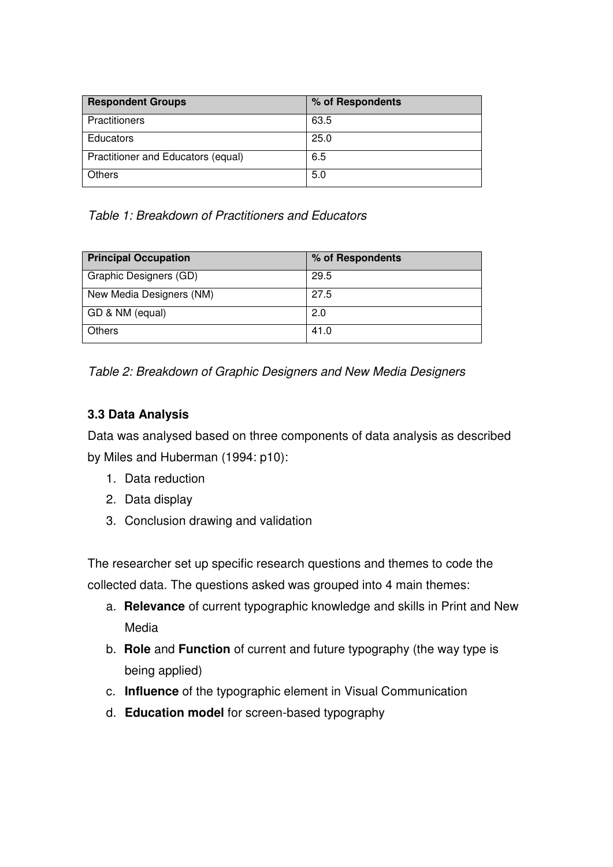| <b>Respondent Groups</b>           | % of Respondents |
|------------------------------------|------------------|
| <b>Practitioners</b>               | 63.5             |
| <b>Educators</b>                   | 25.0             |
| Practitioner and Educators (equal) | 6.5              |
| Others                             | 5.0              |

*Table 1: Breakdown of Practitioners and Educators* 

| <b>Principal Occupation</b> | % of Respondents |
|-----------------------------|------------------|
| Graphic Designers (GD)      | 29.5             |
| New Media Designers (NM)    | 27.5             |
| GD & NM (equal)             | 2.0              |
| <b>Others</b>               | 41.0             |

*Table 2: Breakdown of Graphic Designers and New Media Designers*

# **3.3 Data Analysis**

Data was analysed based on three components of data analysis as described by Miles and Huberman (1994: p10):

- 1. Data reduction
- 2. Data display
- 3. Conclusion drawing and validation

The researcher set up specific research questions and themes to code the collected data. The questions asked was grouped into 4 main themes:

- a. **Relevance** of current typographic knowledge and skills in Print and New Media
- b. **Role** and **Function** of current and future typography (the way type is being applied)
- c. **Influence** of the typographic element in Visual Communication
- d. **Education model** for screen-based typography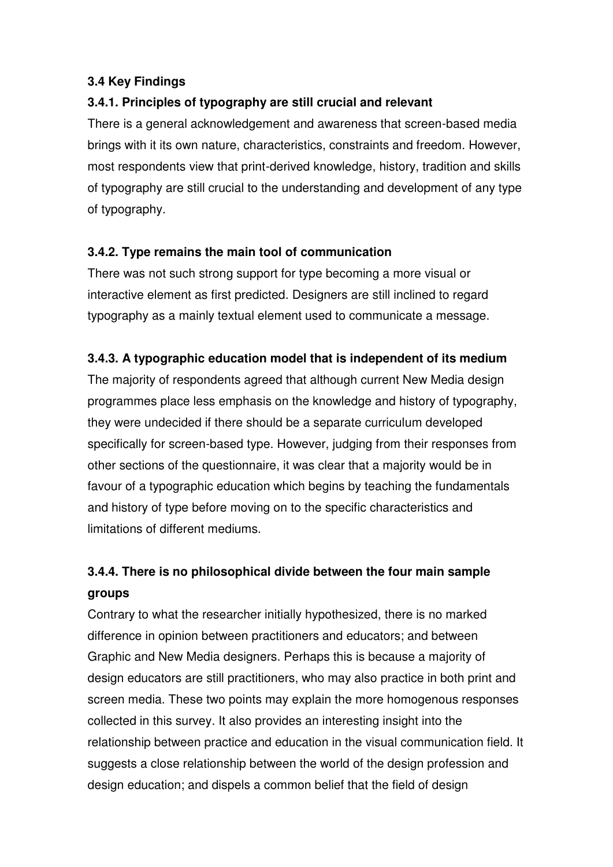# **3.4 Key Findings**

# **3.4.1. Principles of typography are still crucial and relevant**

There is a general acknowledgement and awareness that screen-based media brings with it its own nature, characteristics, constraints and freedom. However, most respondents view that print-derived knowledge, history, tradition and skills of typography are still crucial to the understanding and development of any type of typography.

# **3.4.2. Type remains the main tool of communication**

There was not such strong support for type becoming a more visual or interactive element as first predicted. Designers are still inclined to regard typography as a mainly textual element used to communicate a message.

# **3.4.3. A typographic education model that is independent of its medium**

The majority of respondents agreed that although current New Media design programmes place less emphasis on the knowledge and history of typography, they were undecided if there should be a separate curriculum developed specifically for screen-based type. However, judging from their responses from other sections of the questionnaire, it was clear that a majority would be in favour of a typographic education which begins by teaching the fundamentals and history of type before moving on to the specific characteristics and limitations of different mediums.

# **3.4.4. There is no philosophical divide between the four main sample groups**

Contrary to what the researcher initially hypothesized, there is no marked difference in opinion between practitioners and educators; and between Graphic and New Media designers. Perhaps this is because a majority of design educators are still practitioners, who may also practice in both print and screen media. These two points may explain the more homogenous responses collected in this survey. It also provides an interesting insight into the relationship between practice and education in the visual communication field. It suggests a close relationship between the world of the design profession and design education; and dispels a common belief that the field of design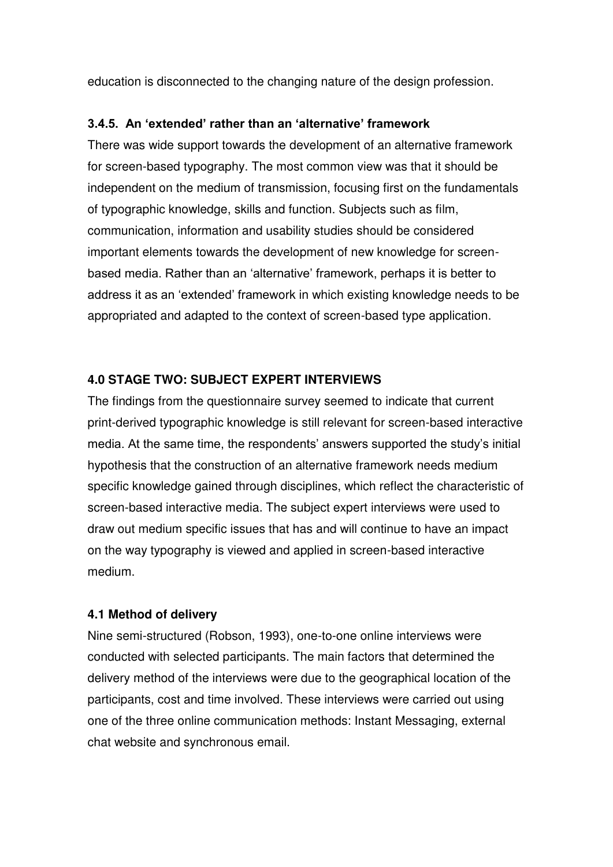education is disconnected to the changing nature of the design profession.

#### **3.4.5. An 'extended' rather than an 'alternative' framework**

There was wide support towards the development of an alternative framework for screen-based typography. The most common view was that it should be independent on the medium of transmission, focusing first on the fundamentals of typographic knowledge, skills and function. Subjects such as film, communication, information and usability studies should be considered important elements towards the development of new knowledge for screenbased media. Rather than an "alternative" framework, perhaps it is better to address it as an "extended" framework in which existing knowledge needs to be appropriated and adapted to the context of screen-based type application.

## **4.0 STAGE TWO: SUBJECT EXPERT INTERVIEWS**

The findings from the questionnaire survey seemed to indicate that current print-derived typographic knowledge is still relevant for screen-based interactive media. At the same time, the respondents' answers supported the study's initial hypothesis that the construction of an alternative framework needs medium specific knowledge gained through disciplines, which reflect the characteristic of screen-based interactive media. The subject expert interviews were used to draw out medium specific issues that has and will continue to have an impact on the way typography is viewed and applied in screen-based interactive medium.

## **4.1 Method of delivery**

Nine semi-structured (Robson, 1993), one-to-one online interviews were conducted with selected participants. The main factors that determined the delivery method of the interviews were due to the geographical location of the participants, cost and time involved. These interviews were carried out using one of the three online communication methods: Instant Messaging, external chat website and synchronous email.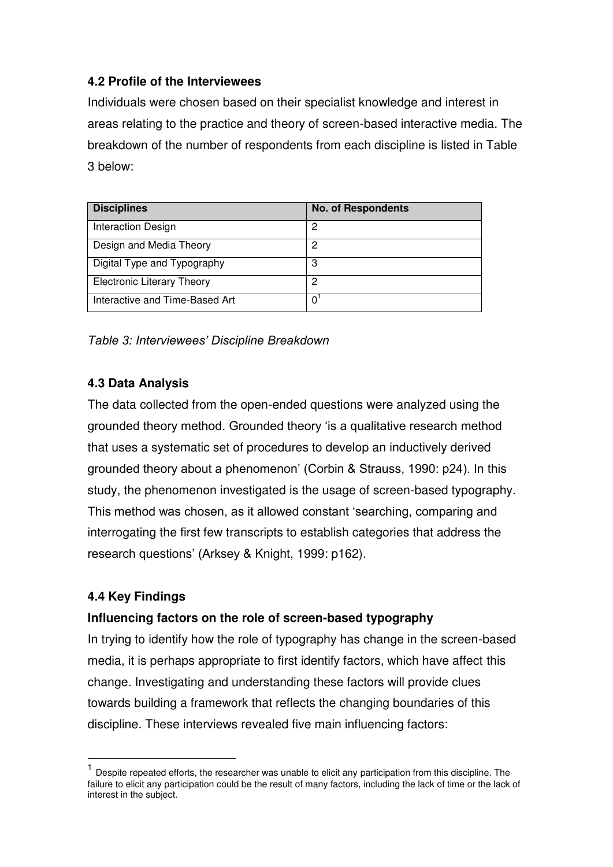# **4.2 Profile of the Interviewees**

Individuals were chosen based on their specialist knowledge and interest in areas relating to the practice and theory of screen-based interactive media. The breakdown of the number of respondents from each discipline is listed in Table 3 below:

| <b>Disciplines</b>                | <b>No. of Respondents</b> |
|-----------------------------------|---------------------------|
| Interaction Design                | 2                         |
| Design and Media Theory           | 2                         |
| Digital Type and Typography       | 3                         |
| <b>Electronic Literary Theory</b> | 2                         |
| Interactive and Time-Based Art    | <sup>n</sup>              |

## *Table 3: Interviewees' Discipline Breakdown*

## **4.3 Data Analysis**

The data collected from the open-ended questions were analyzed using the grounded theory method. Grounded theory "is a qualitative research method that uses a systematic set of procedures to develop an inductively derived grounded theory about a phenomenon" (Corbin & Strauss, 1990: p24). In this study, the phenomenon investigated is the usage of screen-based typography. This method was chosen, as it allowed constant "searching, comparing and interrogating the first few transcripts to establish categories that address the research questions' (Arksey & Knight, 1999: p162).

## **4.4 Key Findings**

 $\overline{a}$ 

# **Influencing factors on the role of screen-based typography**

In trying to identify how the role of typography has change in the screen-based media, it is perhaps appropriate to first identify factors, which have affect this change. Investigating and understanding these factors will provide clues towards building a framework that reflects the changing boundaries of this discipline. These interviews revealed five main influencing factors:

<sup>&</sup>lt;sup>1</sup> Despite repeated efforts, the researcher was unable to elicit any participation from this discipline. The failure to elicit any participation could be the result of many factors, including the lack of time or the lack of interest in the subject.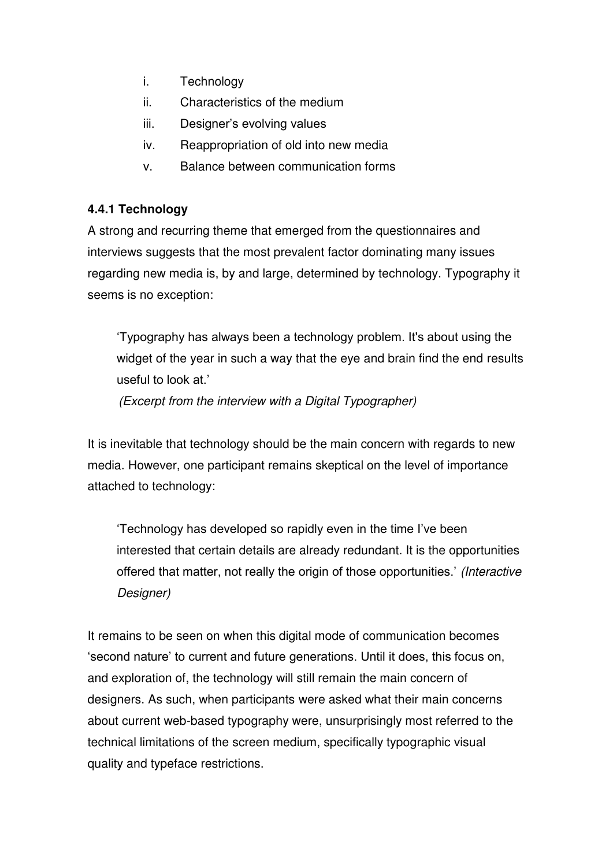- i. Technology
- ii. Characteristics of the medium
- iii. Designer"s evolving values
- iv. Reappropriation of old into new media
- v. Balance between communication forms

# **4.4.1 Technology**

A strong and recurring theme that emerged from the questionnaires and interviews suggests that the most prevalent factor dominating many issues regarding new media is, by and large, determined by technology. Typography it seems is no exception:

"Typography has always been a technology problem. It's about using the widget of the year in such a way that the eye and brain find the end results useful to look at."

*(Excerpt from the interview with a Digital Typographer)* 

It is inevitable that technology should be the main concern with regards to new media. However, one participant remains skeptical on the level of importance attached to technology:

"Technology has developed so rapidly even in the time I"ve been interested that certain details are already redundant. It is the opportunities offered that matter, not really the origin of those opportunities." *(Interactive Designer)*

It remains to be seen on when this digital mode of communication becomes 'second nature' to current and future generations. Until it does, this focus on, and exploration of, the technology will still remain the main concern of designers. As such, when participants were asked what their main concerns about current web-based typography were, unsurprisingly most referred to the technical limitations of the screen medium, specifically typographic visual quality and typeface restrictions.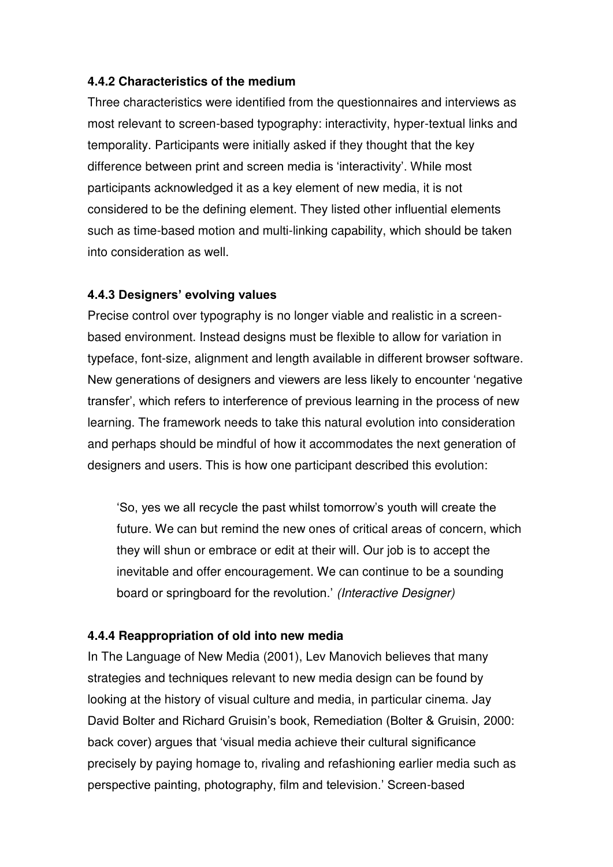#### **4.4.2 Characteristics of the medium**

Three characteristics were identified from the questionnaires and interviews as most relevant to screen-based typography: interactivity, hyper-textual links and temporality. Participants were initially asked if they thought that the key difference between print and screen media is "interactivity". While most participants acknowledged it as a key element of new media, it is not considered to be the defining element. They listed other influential elements such as time-based motion and multi-linking capability, which should be taken into consideration as well.

#### **4.4.3 Designers' evolving values**

Precise control over typography is no longer viable and realistic in a screenbased environment. Instead designs must be flexible to allow for variation in typeface, font-size, alignment and length available in different browser software. New generations of designers and viewers are less likely to encounter "negative transfer", which refers to interference of previous learning in the process of new learning. The framework needs to take this natural evolution into consideration and perhaps should be mindful of how it accommodates the next generation of designers and users. This is how one participant described this evolution:

"So, yes we all recycle the past whilst tomorrow"s youth will create the future. We can but remind the new ones of critical areas of concern, which they will shun or embrace or edit at their will. Our job is to accept the inevitable and offer encouragement. We can continue to be a sounding board or springboard for the revolution." *(Interactive Designer)*

#### **4.4.4 Reappropriation of old into new media**

In The Language of New Media (2001), Lev Manovich believes that many strategies and techniques relevant to new media design can be found by looking at the history of visual culture and media, in particular cinema. Jay David Bolter and Richard Gruisin"s book, Remediation (Bolter & Gruisin, 2000: back cover) argues that "visual media achieve their cultural significance precisely by paying homage to, rivaling and refashioning earlier media such as perspective painting, photography, film and television." Screen-based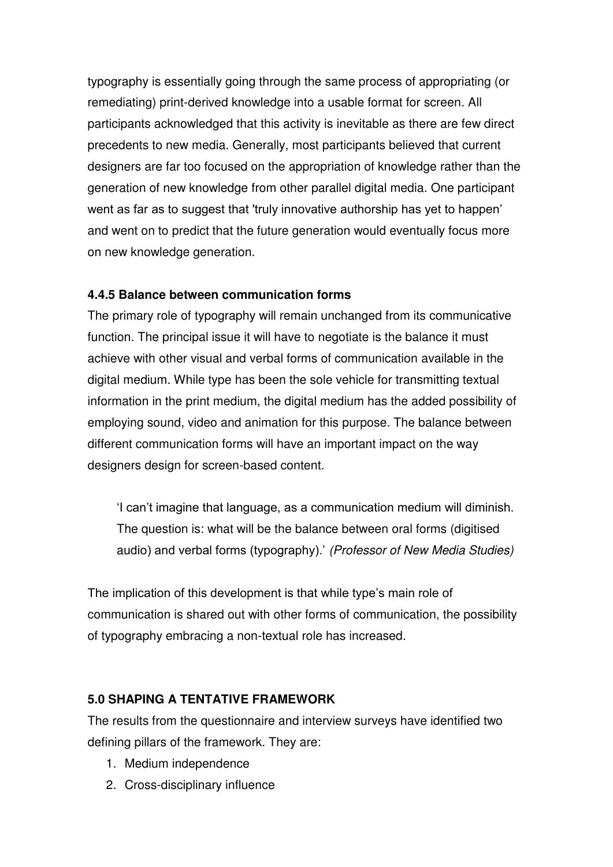typography is essentially going through the same process of appropriating (or remediating) print-derived knowledge into a usable format for screen. All participants acknowledged that this activity is inevitable as there are few direct precedents to new media. Generally, most participants believed that current designers are far too focused on the appropriation of knowledge rather than the generation of new knowledge from other parallel digital media. One participant went as far as to suggest that 'truly innovative authorship has yet to happen' and went on to predict that the future generation would eventually focus more on new knowledge generation.

## **4.4.5 Balance between communication forms**

The primary role of typography will remain unchanged from its communicative function. The principal issue it will have to negotiate is the balance it must achieve with other visual and verbal forms of communication available in the digital medium. While type has been the sole vehicle for transmitting textual information in the print medium, the digital medium has the added possibility of employing sound, video and animation for this purpose. The balance between different communication forms will have an important impact on the way designers design for screen-based content.

"I can"t imagine that language, as a communication medium will diminish. The question is: what will be the balance between oral forms (digitised audio) and verbal forms (typography)." *(Professor of New Media Studies)*

The implication of this development is that while type's main role of communication is shared out with other forms of communication, the possibility of typography embracing a non-textual role has increased.

# **5.0 SHAPING A TENTATIVE FRAMEWORK**

The results from the questionnaire and interview surveys have identified two defining pillars of the framework. They are:

- 1. Medium independence
- 2. Cross-disciplinary influence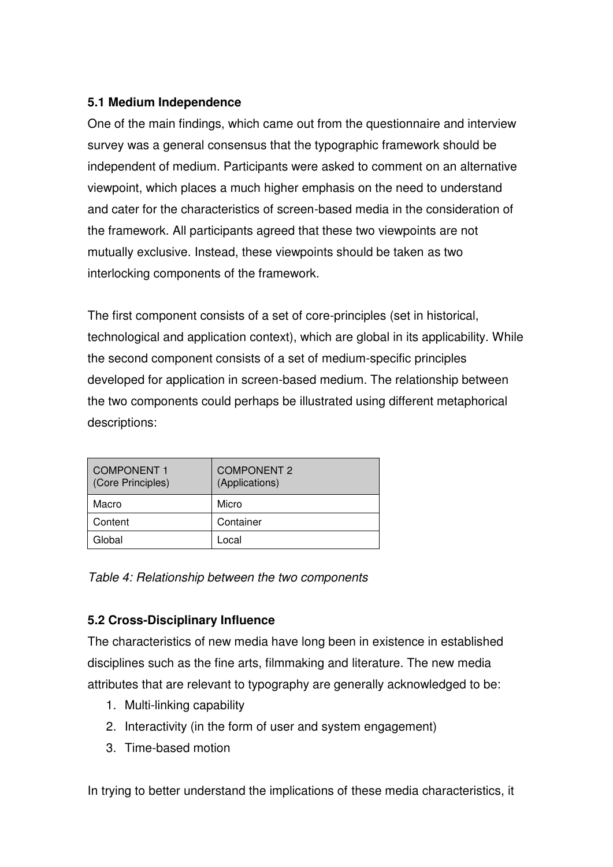# **5.1 Medium Independence**

One of the main findings, which came out from the questionnaire and interview survey was a general consensus that the typographic framework should be independent of medium. Participants were asked to comment on an alternative viewpoint, which places a much higher emphasis on the need to understand and cater for the characteristics of screen-based media in the consideration of the framework. All participants agreed that these two viewpoints are not mutually exclusive. Instead, these viewpoints should be taken as two interlocking components of the framework.

The first component consists of a set of core-principles (set in historical, technological and application context), which are global in its applicability. While the second component consists of a set of medium-specific principles developed for application in screen-based medium. The relationship between the two components could perhaps be illustrated using different metaphorical descriptions:

| <b>COMPONENT 1</b><br>(Core Principles) | <b>COMPONENT 2</b><br>(Applications) |
|-----------------------------------------|--------------------------------------|
| Macro                                   | Micro                                |
| Content                                 | Container                            |
| Global                                  | Local                                |

*Table 4: Relationship between the two components* 

# **5.2 Cross-Disciplinary Influence**

The characteristics of new media have long been in existence in established disciplines such as the fine arts, filmmaking and literature. The new media attributes that are relevant to typography are generally acknowledged to be:

- 1. Multi-linking capability
- 2. Interactivity (in the form of user and system engagement)
- 3. Time-based motion

In trying to better understand the implications of these media characteristics, it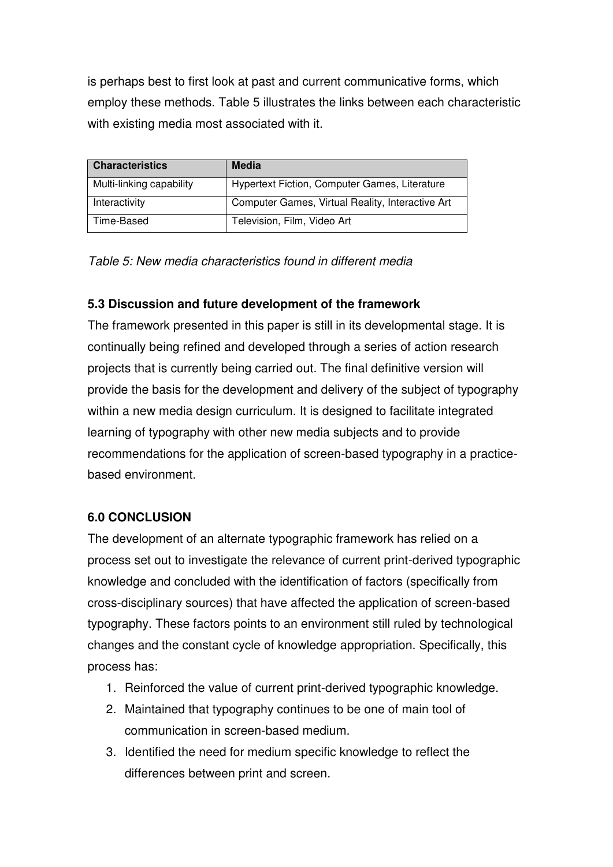is perhaps best to first look at past and current communicative forms, which employ these methods. Table 5 illustrates the links between each characteristic with existing media most associated with it.

| <b>Characteristics</b>   | Media                                            |
|--------------------------|--------------------------------------------------|
| Multi-linking capability | Hypertext Fiction, Computer Games, Literature    |
| Interactivity            | Computer Games, Virtual Reality, Interactive Art |
| Time-Based               | Television, Film, Video Art                      |

*Table 5: New media characteristics found in different media*

## **5.3 Discussion and future development of the framework**

The framework presented in this paper is still in its developmental stage. It is continually being refined and developed through a series of action research projects that is currently being carried out. The final definitive version will provide the basis for the development and delivery of the subject of typography within a new media design curriculum. It is designed to facilitate integrated learning of typography with other new media subjects and to provide recommendations for the application of screen-based typography in a practicebased environment.

## **6.0 CONCLUSION**

The development of an alternate typographic framework has relied on a process set out to investigate the relevance of current print-derived typographic knowledge and concluded with the identification of factors (specifically from cross-disciplinary sources) that have affected the application of screen-based typography. These factors points to an environment still ruled by technological changes and the constant cycle of knowledge appropriation. Specifically, this process has:

- 1. Reinforced the value of current print-derived typographic knowledge.
- 2. Maintained that typography continues to be one of main tool of communication in screen-based medium.
- 3. Identified the need for medium specific knowledge to reflect the differences between print and screen.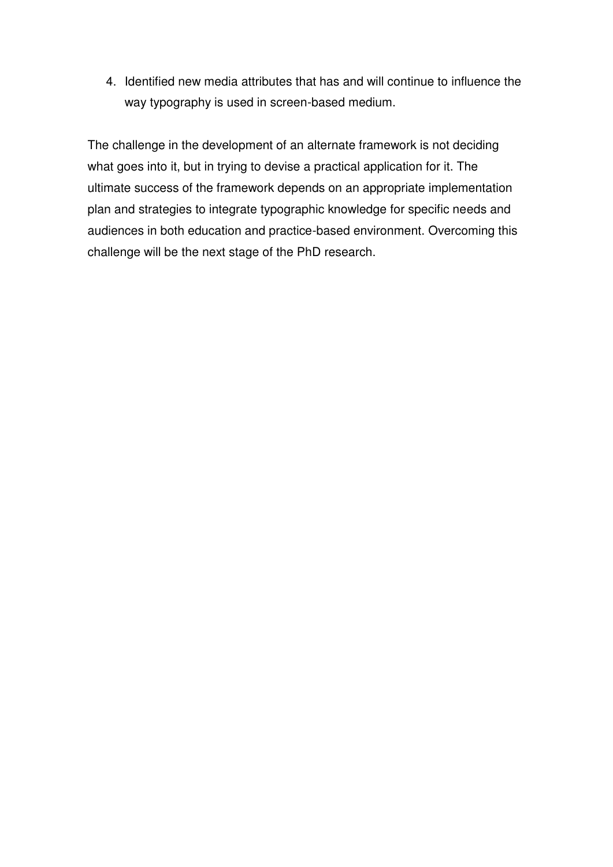4. Identified new media attributes that has and will continue to influence the way typography is used in screen-based medium.

The challenge in the development of an alternate framework is not deciding what goes into it, but in trying to devise a practical application for it. The ultimate success of the framework depends on an appropriate implementation plan and strategies to integrate typographic knowledge for specific needs and audiences in both education and practice-based environment. Overcoming this challenge will be the next stage of the PhD research.